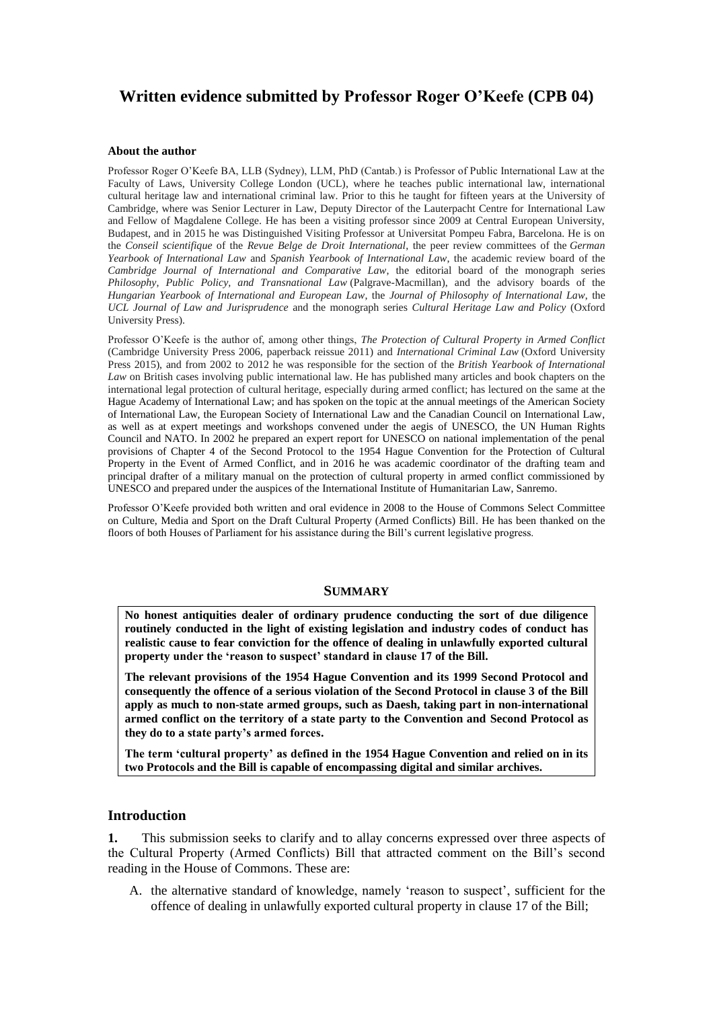# **Written evidence submitted by Professor Roger O'Keefe (CPB 04)**

#### **About the author**

Professor Roger O'Keefe BA, LLB (Sydney), LLM, PhD (Cantab.) is Professor of Public International Law at the Faculty of Laws, University College London (UCL), where he teaches public international law, international cultural heritage law and international criminal law. Prior to this he taught for fifteen years at the University of Cambridge, where was Senior Lecturer in Law, Deputy Director of the Lauterpacht Centre for International Law and Fellow of Magdalene College. He has been a visiting professor since 2009 at Central European University, Budapest, and in 2015 he was Distinguished Visiting Professor at Universitat Pompeu Fabra, Barcelona. He is on the *Conseil scientifique* of the *Revue Belge de Droit International*, the peer review committees of the *German Yearbook of International Law* and *Spanish Yearbook of International Law*, the academic review board of the *Cambridge Journal of International and Comparative Law*, the editorial board of the monograph series *Philosophy, Public Policy, and Transnational Law* (Palgrave-Macmillan), and the advisory boards of the *Hungarian Yearbook of International and European Law*, the *Journal of Philosophy of International Law*, the *UCL Journal of Law and Jurisprudence* and the monograph series *Cultural Heritage Law and Policy* (Oxford University Press).

Professor O'Keefe is the author of, among other things, *The Protection of Cultural Property in Armed Conflict*  (Cambridge University Press 2006, paperback reissue 2011) and *International Criminal Law* (Oxford University Press 2015), and from 2002 to 2012 he was responsible for the section of the *British Yearbook of International Law* on British cases involving public international law. He has published many articles and book chapters on the international legal protection of cultural heritage, especially during armed conflict; has lectured on the same at the Hague Academy of International Law; and has spoken on the topic at the annual meetings of the American Society of International Law, the European Society of International Law and the Canadian Council on International Law, as well as at expert meetings and workshops convened under the aegis of UNESCO, the UN Human Rights Council and NATO. In 2002 he prepared an expert report for UNESCO on national implementation of the penal provisions of Chapter 4 of the Second Protocol to the 1954 Hague Convention for the Protection of Cultural Property in the Event of Armed Conflict, and in 2016 he was academic coordinator of the drafting team and principal drafter of a military manual on the protection of cultural property in armed conflict commissioned by UNESCO and prepared under the auspices of the International Institute of Humanitarian Law, Sanremo.

Professor O'Keefe provided both written and oral evidence in 2008 to the House of Commons Select Committee on Culture, Media and Sport on the Draft Cultural Property (Armed Conflicts) Bill. He has been thanked on the floors of both Houses of Parliament for his assistance during the Bill's current legislative progress.

#### **SUMMARY**

**No honest antiquities dealer of ordinary prudence conducting the sort of due diligence routinely conducted in the light of existing legislation and industry codes of conduct has realistic cause to fear conviction for the offence of dealing in unlawfully exported cultural property under the 'reason to suspect' standard in clause 17 of the Bill.**

**The relevant provisions of the 1954 Hague Convention and its 1999 Second Protocol and consequently the offence of a serious violation of the Second Protocol in clause 3 of the Bill apply as much to non-state armed groups, such as Daesh, taking part in non-international armed conflict on the territory of a state party to the Convention and Second Protocol as they do to a state party's armed forces.**

**The term 'cultural property' as defined in the 1954 Hague Convention and relied on in its two Protocols and the Bill is capable of encompassing digital and similar archives.**

### **Introduction**

**1.** This submission seeks to clarify and to allay concerns expressed over three aspects of the Cultural Property (Armed Conflicts) Bill that attracted comment on the Bill's second reading in the House of Commons. These are:

A. the alternative standard of knowledge, namely 'reason to suspect', sufficient for the offence of dealing in unlawfully exported cultural property in clause 17 of the Bill;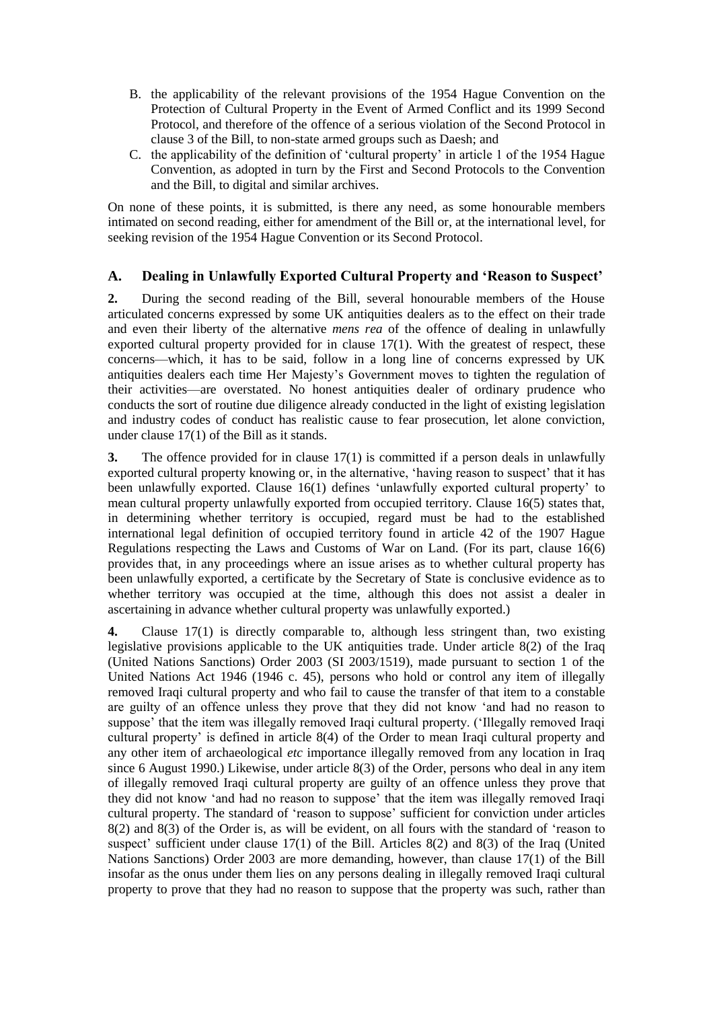- B. the applicability of the relevant provisions of the 1954 Hague Convention on the Protection of Cultural Property in the Event of Armed Conflict and its 1999 Second Protocol, and therefore of the offence of a serious violation of the Second Protocol in clause 3 of the Bill, to non-state armed groups such as Daesh; and
- C. the applicability of the definition of 'cultural property' in article 1 of the 1954 Hague Convention, as adopted in turn by the First and Second Protocols to the Convention and the Bill, to digital and similar archives.

On none of these points, it is submitted, is there any need, as some honourable members intimated on second reading, either for amendment of the Bill or, at the international level, for seeking revision of the 1954 Hague Convention or its Second Protocol.

## **A. Dealing in Unlawfully Exported Cultural Property and 'Reason to Suspect'**

**2.** During the second reading of the Bill, several honourable members of the House articulated concerns expressed by some UK antiquities dealers as to the effect on their trade and even their liberty of the alternative *mens rea* of the offence of dealing in unlawfully exported cultural property provided for in clause 17(1). With the greatest of respect, these concerns—which, it has to be said, follow in a long line of concerns expressed by UK antiquities dealers each time Her Majesty's Government moves to tighten the regulation of their activities—are overstated. No honest antiquities dealer of ordinary prudence who conducts the sort of routine due diligence already conducted in the light of existing legislation and industry codes of conduct has realistic cause to fear prosecution, let alone conviction, under clause 17(1) of the Bill as it stands.

**3.** The offence provided for in clause 17(1) is committed if a person deals in unlawfully exported cultural property knowing or, in the alternative, 'having reason to suspect' that it has been unlawfully exported. Clause 16(1) defines 'unlawfully exported cultural property' to mean cultural property unlawfully exported from occupied territory. Clause 16(5) states that, in determining whether territory is occupied, regard must be had to the established international legal definition of occupied territory found in article 42 of the 1907 Hague Regulations respecting the Laws and Customs of War on Land. (For its part, clause 16(6) provides that, in any proceedings where an issue arises as to whether cultural property has been unlawfully exported, a certificate by the Secretary of State is conclusive evidence as to whether territory was occupied at the time, although this does not assist a dealer in ascertaining in advance whether cultural property was unlawfully exported.)

**4.** Clause 17(1) is directly comparable to, although less stringent than, two existing legislative provisions applicable to the UK antiquities trade. Under article 8(2) of the Iraq (United Nations Sanctions) Order 2003 (SI 2003/1519), made pursuant to section 1 of the United Nations Act 1946 (1946 c. 45), persons who hold or control any item of illegally removed Iraqi cultural property and who fail to cause the transfer of that item to a constable are guilty of an offence unless they prove that they did not know 'and had no reason to suppose' that the item was illegally removed Iraqi cultural property. ('Illegally removed Iraqi cultural property' is defined in article 8(4) of the Order to mean Iraqi cultural property and any other item of archaeological *etc* importance illegally removed from any location in Iraq since 6 August 1990.) Likewise, under article 8(3) of the Order, persons who deal in any item of illegally removed Iraqi cultural property are guilty of an offence unless they prove that they did not know 'and had no reason to suppose' that the item was illegally removed Iraqi cultural property. The standard of 'reason to suppose' sufficient for conviction under articles 8(2) and 8(3) of the Order is, as will be evident, on all fours with the standard of 'reason to suspect' sufficient under clause  $17(1)$  of the Bill. Articles  $8(2)$  and  $8(3)$  of the Iraq (United Nations Sanctions) Order 2003 are more demanding, however, than clause 17(1) of the Bill insofar as the onus under them lies on any persons dealing in illegally removed Iraqi cultural property to prove that they had no reason to suppose that the property was such, rather than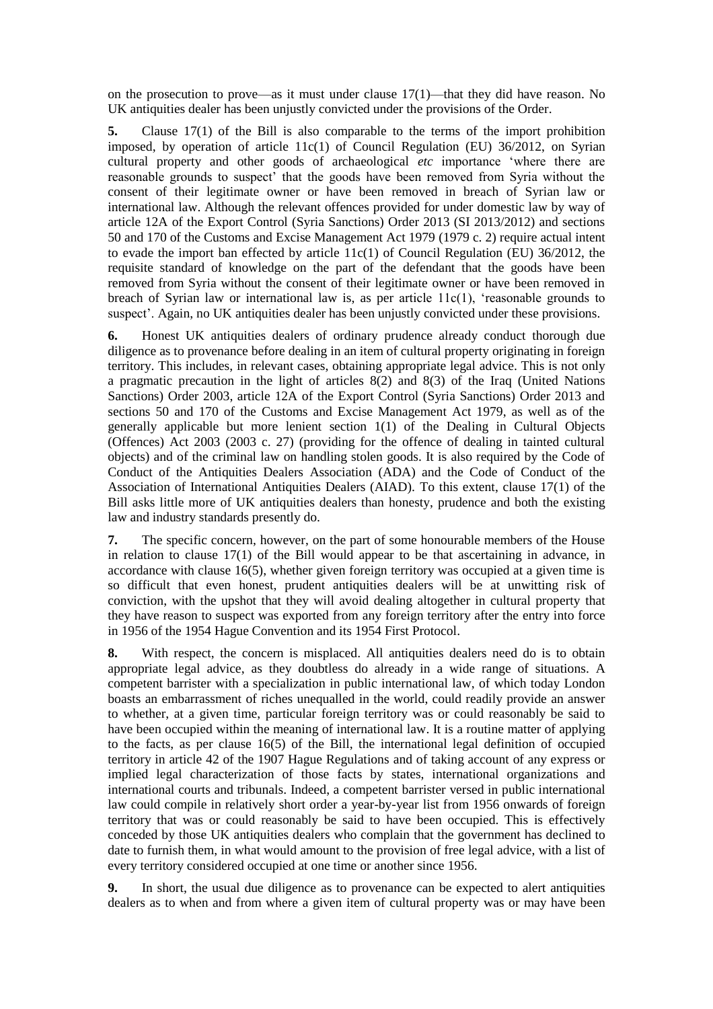on the prosecution to prove—as it must under clause  $17(1)$ —that they did have reason. No UK antiquities dealer has been unjustly convicted under the provisions of the Order.

**5.** Clause 17(1) of the Bill is also comparable to the terms of the import prohibition imposed, by operation of article 11c(1) of Council Regulation (EU) 36/2012, on Syrian cultural property and other goods of archaeological *etc* importance 'where there are reasonable grounds to suspect' that the goods have been removed from Syria without the consent of their legitimate owner or have been removed in breach of Syrian law or international law. Although the relevant offences provided for under domestic law by way of article 12A of the Export Control (Syria Sanctions) Order 2013 (SI 2013/2012) and sections 50 and 170 of the Customs and Excise Management Act 1979 (1979 c. 2) require actual intent to evade the import ban effected by article 11c(1) of Council Regulation (EU) 36/2012, the requisite standard of knowledge on the part of the defendant that the goods have been removed from Syria without the consent of their legitimate owner or have been removed in breach of Syrian law or international law is, as per article  $11c(1)$ , 'reasonable grounds to suspect'. Again, no UK antiquities dealer has been unjustly convicted under these provisions.

**6.** Honest UK antiquities dealers of ordinary prudence already conduct thorough due diligence as to provenance before dealing in an item of cultural property originating in foreign territory. This includes, in relevant cases, obtaining appropriate legal advice. This is not only a pragmatic precaution in the light of articles 8(2) and 8(3) of the Iraq (United Nations Sanctions) Order 2003, article 12A of the Export Control (Syria Sanctions) Order 2013 and sections 50 and 170 of the Customs and Excise Management Act 1979, as well as of the generally applicable but more lenient section 1(1) of the Dealing in Cultural Objects (Offences) Act 2003 (2003 c. 27) (providing for the offence of dealing in tainted cultural objects) and of the criminal law on handling stolen goods. It is also required by the Code of Conduct of the Antiquities Dealers Association (ADA) and the Code of Conduct of the Association of International Antiquities Dealers (AIAD). To this extent, clause 17(1) of the Bill asks little more of UK antiquities dealers than honesty, prudence and both the existing law and industry standards presently do.

**7.** The specific concern, however, on the part of some honourable members of the House in relation to clause 17(1) of the Bill would appear to be that ascertaining in advance, in accordance with clause 16(5), whether given foreign territory was occupied at a given time is so difficult that even honest, prudent antiquities dealers will be at unwitting risk of conviction, with the upshot that they will avoid dealing altogether in cultural property that they have reason to suspect was exported from any foreign territory after the entry into force in 1956 of the 1954 Hague Convention and its 1954 First Protocol.

**8.** With respect, the concern is misplaced. All antiquities dealers need do is to obtain appropriate legal advice, as they doubtless do already in a wide range of situations. A competent barrister with a specialization in public international law, of which today London boasts an embarrassment of riches unequalled in the world, could readily provide an answer to whether, at a given time, particular foreign territory was or could reasonably be said to have been occupied within the meaning of international law. It is a routine matter of applying to the facts, as per clause 16(5) of the Bill, the international legal definition of occupied territory in article 42 of the 1907 Hague Regulations and of taking account of any express or implied legal characterization of those facts by states, international organizations and international courts and tribunals. Indeed, a competent barrister versed in public international law could compile in relatively short order a year-by-year list from 1956 onwards of foreign territory that was or could reasonably be said to have been occupied. This is effectively conceded by those UK antiquities dealers who complain that the government has declined to date to furnish them, in what would amount to the provision of free legal advice, with a list of every territory considered occupied at one time or another since 1956.

**9.** In short, the usual due diligence as to provenance can be expected to alert antiquities dealers as to when and from where a given item of cultural property was or may have been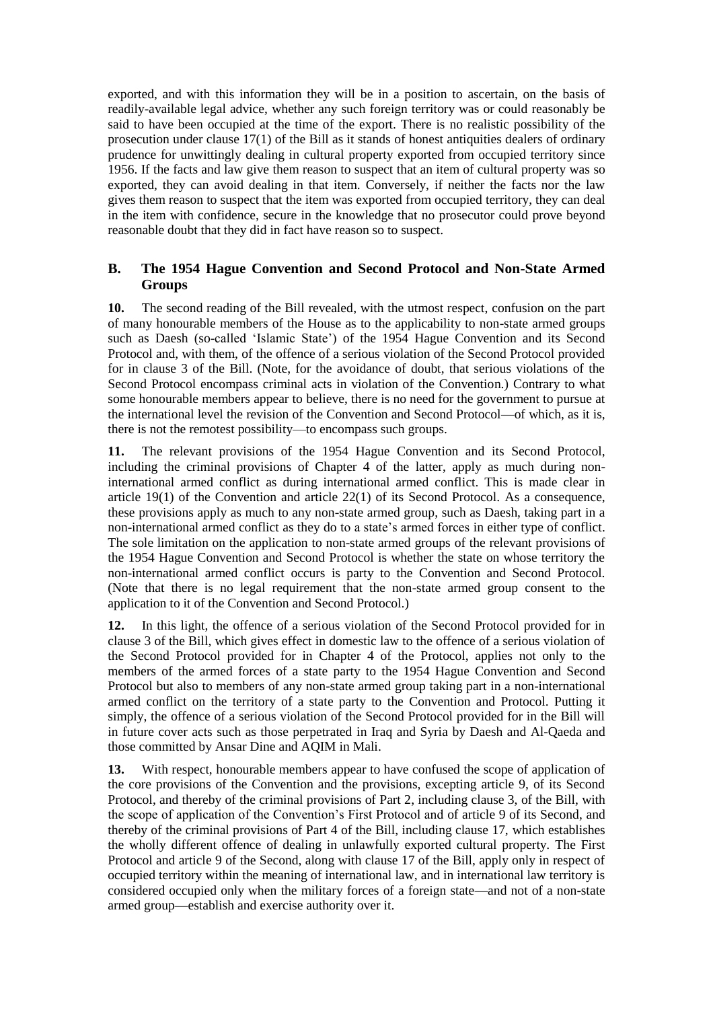exported, and with this information they will be in a position to ascertain, on the basis of readily-available legal advice, whether any such foreign territory was or could reasonably be said to have been occupied at the time of the export. There is no realistic possibility of the prosecution under clause 17(1) of the Bill as it stands of honest antiquities dealers of ordinary prudence for unwittingly dealing in cultural property exported from occupied territory since 1956. If the facts and law give them reason to suspect that an item of cultural property was so exported, they can avoid dealing in that item. Conversely, if neither the facts nor the law gives them reason to suspect that the item was exported from occupied territory, they can deal in the item with confidence, secure in the knowledge that no prosecutor could prove beyond reasonable doubt that they did in fact have reason so to suspect.

## **B. The 1954 Hague Convention and Second Protocol and Non-State Armed Groups**

**10.** The second reading of the Bill revealed, with the utmost respect, confusion on the part of many honourable members of the House as to the applicability to non-state armed groups such as Daesh (so-called 'Islamic State') of the 1954 Hague Convention and its Second Protocol and, with them, of the offence of a serious violation of the Second Protocol provided for in clause 3 of the Bill. (Note, for the avoidance of doubt, that serious violations of the Second Protocol encompass criminal acts in violation of the Convention.) Contrary to what some honourable members appear to believe, there is no need for the government to pursue at the international level the revision of the Convention and Second Protocol—of which, as it is, there is not the remotest possibility—to encompass such groups.

**11.** The relevant provisions of the 1954 Hague Convention and its Second Protocol, including the criminal provisions of Chapter 4 of the latter, apply as much during noninternational armed conflict as during international armed conflict. This is made clear in article 19(1) of the Convention and article 22(1) of its Second Protocol. As a consequence, these provisions apply as much to any non-state armed group, such as Daesh, taking part in a non-international armed conflict as they do to a state's armed forces in either type of conflict. The sole limitation on the application to non-state armed groups of the relevant provisions of the 1954 Hague Convention and Second Protocol is whether the state on whose territory the non-international armed conflict occurs is party to the Convention and Second Protocol. (Note that there is no legal requirement that the non-state armed group consent to the application to it of the Convention and Second Protocol.)

**12.** In this light, the offence of a serious violation of the Second Protocol provided for in clause 3 of the Bill, which gives effect in domestic law to the offence of a serious violation of the Second Protocol provided for in Chapter 4 of the Protocol, applies not only to the members of the armed forces of a state party to the 1954 Hague Convention and Second Protocol but also to members of any non-state armed group taking part in a non-international armed conflict on the territory of a state party to the Convention and Protocol. Putting it simply, the offence of a serious violation of the Second Protocol provided for in the Bill will in future cover acts such as those perpetrated in Iraq and Syria by Daesh and Al-Qaeda and those committed by Ansar Dine and AQIM in Mali.

**13.** With respect, honourable members appear to have confused the scope of application of the core provisions of the Convention and the provisions, excepting article 9, of its Second Protocol, and thereby of the criminal provisions of Part 2, including clause 3, of the Bill, with the scope of application of the Convention's First Protocol and of article 9 of its Second, and thereby of the criminal provisions of Part 4 of the Bill, including clause 17, which establishes the wholly different offence of dealing in unlawfully exported cultural property. The First Protocol and article 9 of the Second, along with clause 17 of the Bill, apply only in respect of occupied territory within the meaning of international law, and in international law territory is considered occupied only when the military forces of a foreign state—and not of a non-state armed group—establish and exercise authority over it.